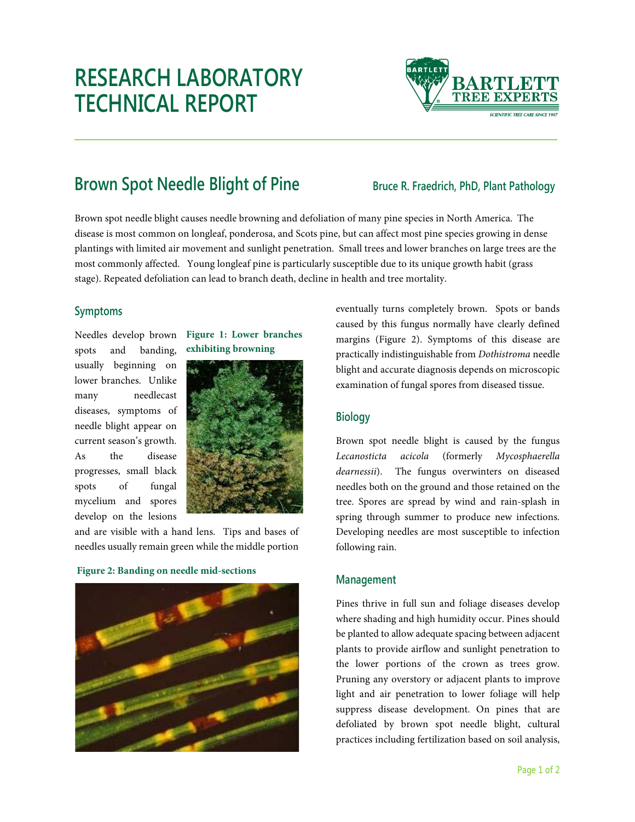# **RESEARCH LABORATORY TECHNICAL REPORT**



## **Brown Spot Needle Blight of Pine** *Bruce R. Fraedrich, PhD, Plant Pathology*

Brown spot needle blight causes needle browning and defoliation of many pine species in North America. The disease is most common on longleaf, ponderosa, and Scots pine, but can affect most pine species growing in dense plantings with limited air movement and sunlight penetration. Small trees and lower branches on large trees are the most commonly affected. Young longleaf pine is particularly susceptible due to its unique growth habit (grass stage). Repeated defoliation can lead to branch death, decline in health and tree mortality.

### **Symptoms**

Needles develop brown spots and banding, usually beginning on lower branches. Unlike many needlecast diseases, symptoms of needle blight appear on current season's growth. As the disease progresses, small black spots of fungal mycelium and spores develop on the lesions





and are visible with a hand lens. Tips and bases of needles usually remain green while the middle portion

#### **Figure 2: Banding on needle mid-sections**



eventually turns completely brown. Spots or bands caused by this fungus normally have clearly defined margins (Figure 2). Symptoms of this disease are practically indistinguishable from *Dothistroma* needle blight and accurate diagnosis depends on microscopic examination of fungal spores from diseased tissue.

#### **Biology**

Brown spot needle blight is caused by the fungus *Lecanosticta acicola* (formerly *Mycosphaerella dearnessii*). The fungus overwinters on diseased needles both on the ground and those retained on the tree. Spores are spread by wind and rain-splash in spring through summer to produce new infections. Developing needles are most susceptible to infection following rain.

#### **Management**

Pines thrive in full sun and foliage diseases develop where shading and high humidity occur. Pines should be planted to allow adequate spacing between adjacent plants to provide airflow and sunlight penetration to the lower portions of the crown as trees grow. Pruning any overstory or adjacent plants to improve light and air penetration to lower foliage will help suppress disease development. On pines that are defoliated by brown spot needle blight, cultural practices including fertilization based on soil analysis,